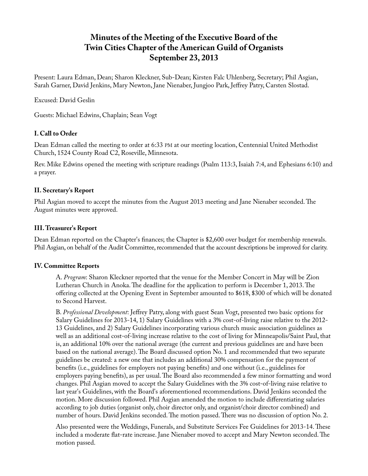# **Minutes of the Meeting of the Executive Board of the Twin Cities Chapter of the American Guild of Organists September 23, 2013**

Present: Laura Edman, Dean; Sharon Kleckner, Sub-Dean; Kirsten Falc Uhlenberg, Secretary; Phil Asgian, Sarah Garner, David Jenkins, Mary Newton, Jane Nienaber, Jungjoo Park, Jeffrey Patry, Carsten Slostad.

Excused: David Geslin

Guests: Michael Edwins, Chaplain; Sean Vogt

# **I. Call to Order**

Dean Edman called the meeting to order at 6:33 PM at our meeting location, Centennial United Methodist Church, 1524 County Road C2, Roseville, Minnesota.

Rev. Mike Edwins opened the meeting with scripture readings (Psalm 113:3, Isaiah 7:4, and Ephesians 6:10) and a prayer.

# **II. Secretary's Report**

Phil Asgian moved to accept the minutes from the August 2013 meeting and Jane Nienaber seconded. The August minutes were approved.

# **III. Treasurer's Report**

Dean Edman reported on the Chapter's finances; the Chapter is \$2,600 over budget for membership renewals. Phil Asgian, on behalf of the Audit Committee, recommended that the account descriptions be improved for clarity.

## **IV. Committee Reports**

A. *Program*: Sharon Kleckner reported that the venue for the Member Concert in May will be Zion Lutheran Church in Anoka. The deadline for the application to perform is December 1, 2013. The offering collected at the Opening Event in September amounted to \$618, \$300 of which will be donated to Second Harvest.

B. *Professional Development*: Jeffrey Patry, along with guest Sean Vogt, presented two basic options for Salary Guidelines for 2013-14, 1) Salary Guidelines with a 3% cost-of-living raise relative to the 2012- 13 Guidelines, and 2) Salary Guidelines incorporating various church music association guidelines as well as an additional cost-of-living increase relative to the cost of living for Minneapolis/Saint Paul, that is, an additional 10% over the national average (the current and previous guidelines are and have been based on the national average). The Board discussed option No. 1 and recommended that two separate guidelines be created: a new one that includes an additional 30% compensation for the payment of benefits (i.e., guidelines for employers not paying benefits) and one without (i.e., guidelines for employers paying benefits), as per usual. The Board also recommended a few minor formatting and word changes. Phil Asgian moved to accept the Salary Guidelines with the 3% cost-of-living raise relative to last year's Guidelines, with the Board's aforementioned recommendations. David Jenkins seconded the motion. More discussion followed. Phil Asgian amended the motion to include differentiating salaries according to job duties (organist only, choir director only, and organist/choir director combined) and number of hours. David Jenkins seconded. The motion passed. There was no discussion of option No. 2.

Also presented were the Weddings, Funerals, and Substitute Services Fee Guidelines for 2013-14. These included a moderate flat-rate increase. Jane Nienaber moved to accept and Mary Newton seconded. The motion passed.